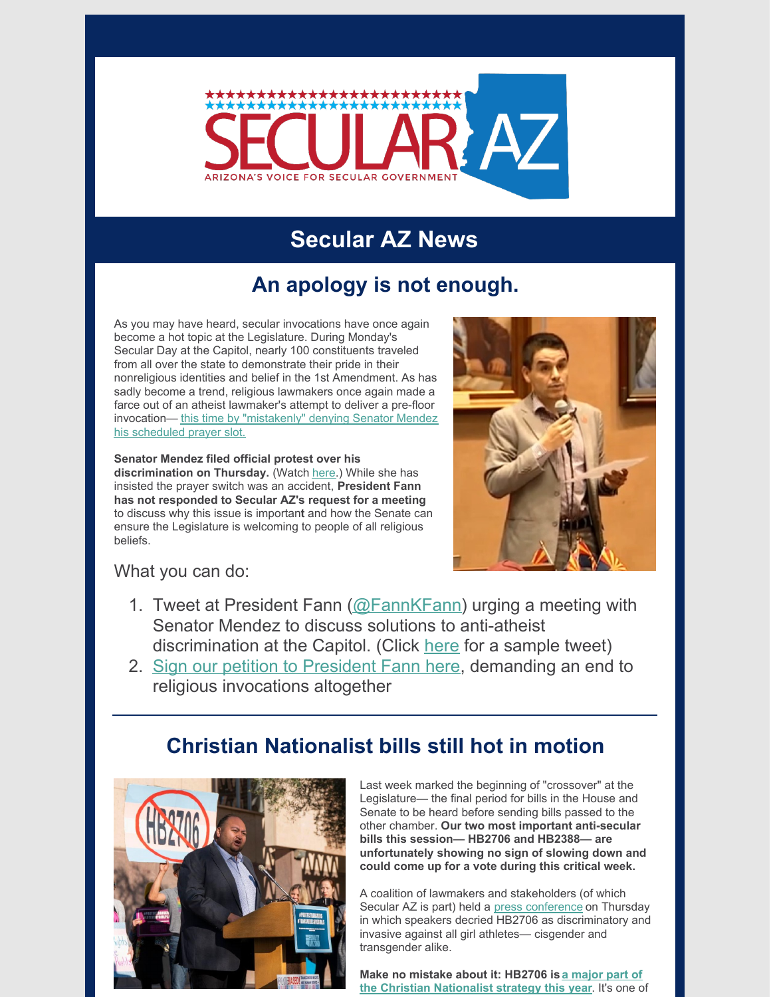

# **Secular AZ News**

### **An apology is not enough.**

As you may have heard, secular invocations have once again become a hot topic at the Legislature. During Monday's Secular Day at the Capitol, nearly 100 constituents traveled from all over the state to demonstrate their pride in their nonreligious identities and belief in the 1st Amendment. As has sadly become a trend, religious lawmakers once again made a farce out of an atheist lawmaker's attempt to deliver a pre-floor [invocation—](https://friendlyatheist.patheos.com/2020/02/24/atheist-lawmaker-snubbed-during-invocation-on-secular-day-at-arizona-capitol/) this time by "mistakenly" denying Senator Mendez his scheduled prayer slot.

**Senator Mendez filed official protest over his discrimination on Thursday.** (Watch [here](https://www.youtube.com/watch?v=zSKtblXi524&feature=youtu.be).) While she has insisted the prayer switch was an accident, **President Fann has not responded to Secular AZ's request for a meeting** to discuss why this issue is importan**t** and how the Senate can ensure the Legislature is welcoming to people of all religious beliefs.



What you can do:

- 1. Tweet at President Fann ( $@FannKFann$ ) urging a meeting with Senator Mendez to discuss solutions to anti-atheist discrimination at the Capitol. (Click [here](https://twitter.com/ToryAZ/status/1232644660004130816) for a sample tweet)
- 2. Sign our petition to [President](https://p2a.co/SzNRqe0) Fann here, demanding an end to religious invocations altogether

### **Christian Nationalist bills still hot in motion**



Last week marked the beginning of "crossover" at the Legislature— the final period for bills in the House and Senate to be heard before sending bills passed to the other chamber. **Our two most important anti-secular bills this session— HB2706 and HB2388— are unfortunately showing no sign of slowing down and could come up for a vote during this critical week.**

A coalition of lawmakers and stakeholders (of which Secular AZ is part) held a press [conference](https://www.azmirror.com/2020/02/27/rep-hernandez-transgender-sports-ban-is-a-show-me-your-genitals-bill/) on Thursday in which speakers decried HB2706 as discriminatory and invasive against all girl athletes— cisgender and transgender alike.

**Make no mistake about it: HB2706 is a major part of the Christian [Nationalist](https://bigthink.com/culture-religion/project-blitz) strategy this year**. It's one of